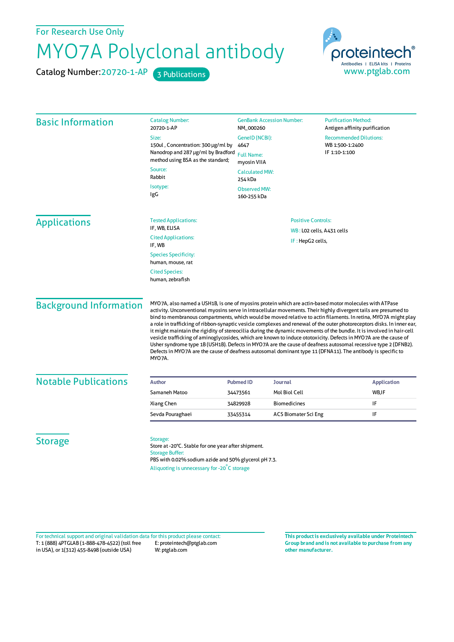For Research Use Only

## MYO7A Polyclonal antibody

Catalog Number: 20720-1-AP 3 Publications



| <b>Basic Information</b>                         | <b>Catalog Number:</b><br>20720-1-AP                                                                                                                                                                                                                                                                                                                                                                                                                                                                                                                                                                                                                                                                                                                                                                                                                                                                                                                           | <b>GenBank Accession Number:</b><br><b>Purification Method:</b><br>NM_000260<br>Antigen affinity purification<br>GenelD (NCBI):<br><b>Recommended Dilutions:</b><br>WB 1:500-1:2400<br>4647<br>IF 1:10-1:100<br><b>Full Name:</b><br>myosin VIIA<br><b>Calculated MW:</b><br>254 kDa |                             |                                    |                           |
|--------------------------------------------------|----------------------------------------------------------------------------------------------------------------------------------------------------------------------------------------------------------------------------------------------------------------------------------------------------------------------------------------------------------------------------------------------------------------------------------------------------------------------------------------------------------------------------------------------------------------------------------------------------------------------------------------------------------------------------------------------------------------------------------------------------------------------------------------------------------------------------------------------------------------------------------------------------------------------------------------------------------------|--------------------------------------------------------------------------------------------------------------------------------------------------------------------------------------------------------------------------------------------------------------------------------------|-----------------------------|------------------------------------|---------------------------|
|                                                  | Size:                                                                                                                                                                                                                                                                                                                                                                                                                                                                                                                                                                                                                                                                                                                                                                                                                                                                                                                                                          |                                                                                                                                                                                                                                                                                      |                             |                                    |                           |
|                                                  | 150ul, Concentration: 300 µg/ml by<br>Nanodrop and 287 µg/ml by Bradford<br>method using BSA as the standard;                                                                                                                                                                                                                                                                                                                                                                                                                                                                                                                                                                                                                                                                                                                                                                                                                                                  |                                                                                                                                                                                                                                                                                      |                             |                                    |                           |
|                                                  |                                                                                                                                                                                                                                                                                                                                                                                                                                                                                                                                                                                                                                                                                                                                                                                                                                                                                                                                                                |                                                                                                                                                                                                                                                                                      |                             |                                    | Source:<br>Rabbit         |
|                                                  | Isotype:<br>IgG                                                                                                                                                                                                                                                                                                                                                                                                                                                                                                                                                                                                                                                                                                                                                                                                                                                                                                                                                |                                                                                                                                                                                                                                                                                      |                             | <b>Observed MW:</b><br>160-255 kDa |                           |
|                                                  |                                                                                                                                                                                                                                                                                                                                                                                                                                                                                                                                                                                                                                                                                                                                                                                                                                                                                                                                                                |                                                                                                                                                                                                                                                                                      |                             |                                    |                           |
|                                                  | <b>Applications</b>                                                                                                                                                                                                                                                                                                                                                                                                                                                                                                                                                                                                                                                                                                                                                                                                                                                                                                                                            | <b>Tested Applications:</b><br>IF, WB, ELISA<br>WB: LO2 cells, A431 cells<br><b>Cited Applications:</b>                                                                                                                                                                              |                             |                                    | <b>Positive Controls:</b> |
|                                                  |                                                                                                                                                                                                                                                                                                                                                                                                                                                                                                                                                                                                                                                                                                                                                                                                                                                                                                                                                                |                                                                                                                                                                                                                                                                                      |                             |                                    |                           |
| IF, WB                                           |                                                                                                                                                                                                                                                                                                                                                                                                                                                                                                                                                                                                                                                                                                                                                                                                                                                                                                                                                                | IF: HepG2 cells,                                                                                                                                                                                                                                                                     |                             |                                    |                           |
| <b>Species Specificity:</b><br>human, mouse, rat |                                                                                                                                                                                                                                                                                                                                                                                                                                                                                                                                                                                                                                                                                                                                                                                                                                                                                                                                                                |                                                                                                                                                                                                                                                                                      |                             |                                    |                           |
| <b>Cited Species:</b><br>human, zebrafish        |                                                                                                                                                                                                                                                                                                                                                                                                                                                                                                                                                                                                                                                                                                                                                                                                                                                                                                                                                                |                                                                                                                                                                                                                                                                                      |                             |                                    |                           |
| <b>Background Information</b>                    | MYO7A, also named a USH1B, is one of myosins protein which are actin-based motor molecules with ATPase<br>activity. Unconventional myosins serve in intracellular movements. Their highly divergent tails are presumed to<br>bind to membranous compartments, which would be moved relative to actin filaments. In retina, MYO7A might play<br>a role in trafficking of ribbon-synaptic vesicle complexes and renewal of the outer photoreceptors disks. In inner ear,<br>it might maintain the rigidity of stereocilia during the dynamic movements of the bundle. It is involved in hair-cell<br>vesicle trafficking of aminoglycosides, which are known to induce ototoxicity. Defects in MYO7A are the cause of<br>Usher syndrome type 1B (USH1B). Defects in MYO7A are the cause of deafness autosomal recessive type 2 (DFNB2).<br>Defects in MYO7A are the cause of deafness autosomal dominant type 11 (DFNA11). The antibody is specific to<br>MYO7A. |                                                                                                                                                                                                                                                                                      |                             |                                    |                           |
|                                                  |                                                                                                                                                                                                                                                                                                                                                                                                                                                                                                                                                                                                                                                                                                                                                                                                                                                                                                                                                                |                                                                                                                                                                                                                                                                                      |                             |                                    |                           |
| <b>Notable Publications</b>                      | <b>Author</b>                                                                                                                                                                                                                                                                                                                                                                                                                                                                                                                                                                                                                                                                                                                                                                                                                                                                                                                                                  | <b>Pubmed ID</b>                                                                                                                                                                                                                                                                     | <b>Journal</b>              | <b>Application</b>                 |                           |
|                                                  | Samaneh Matoo                                                                                                                                                                                                                                                                                                                                                                                                                                                                                                                                                                                                                                                                                                                                                                                                                                                                                                                                                  | 34473561                                                                                                                                                                                                                                                                             | Mol Biol Cell               | WB,IF                              |                           |
|                                                  | Xiang Chen                                                                                                                                                                                                                                                                                                                                                                                                                                                                                                                                                                                                                                                                                                                                                                                                                                                                                                                                                     | 34829928                                                                                                                                                                                                                                                                             | <b>Biomedicines</b>         | IF                                 |                           |
|                                                  | Sevda Pouraghaei                                                                                                                                                                                                                                                                                                                                                                                                                                                                                                                                                                                                                                                                                                                                                                                                                                                                                                                                               | 33455314                                                                                                                                                                                                                                                                             | <b>ACS Biomater Sci Eng</b> | IF                                 |                           |
| <b>Storage</b>                                   | Storage:<br>Store at -20°C. Stable for one year after shipment.<br><b>Storage Buffer:</b><br>PBS with 0.02% sodium azide and 50% glycerol pH 7.3.<br>Aliquoting is unnecessary for -20°C storage                                                                                                                                                                                                                                                                                                                                                                                                                                                                                                                                                                                                                                                                                                                                                               |                                                                                                                                                                                                                                                                                      |                             |                                    |                           |

T: 1 (888) 4PTGLAB (1-888-478-4522) (toll free in USA), or 1(312) 455-8498 (outside USA) E: proteintech@ptglab.com W: ptglab.com Fortechnical support and original validation data forthis product please contact: **This productis exclusively available under Proteintech**

**Group brand and is not available to purchase from any other manufacturer.**